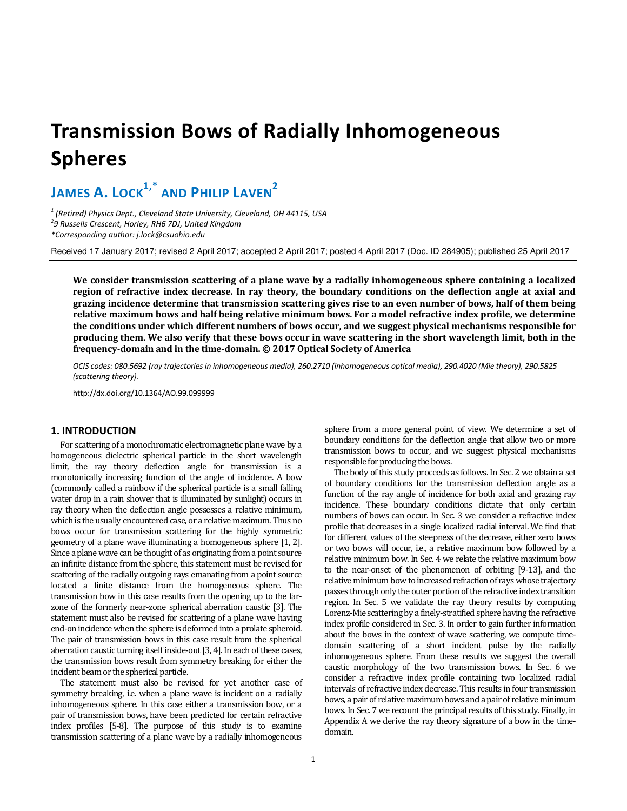# **Transmission Bows of Radially Inhomogeneous Spheres**

**JAMES A. LOCK1,\* AND PHILIP LAVEN<sup>2</sup>**

*1 (Retired) Physics Dept., Cleveland State University, Cleveland, OH 44115, USA 2 9 Russells Crescent, Horley, RH6 7DJ, United Kingdom \*Corresponding author: j.lock@csuohio.edu* 

Received 17 January 2017; revised 2 April 2017; accepted 2 April 2017; posted 4 April 2017 (Doc. ID 284905); published 25 April 2017

**We consider transmission scattering of a plane wave by a radially inhomogeneous sphere containing a localized region of refractive index decrease. In ray theory, the boundary conditions on the deflection angle at axial and grazing incidence determine that transmission scattering gives rise to an even number of bows, half of them being relative maximum bows and half being relative minimum bows. For a model refractive index profile, we determine the conditions under which different numbers of bows occur, and we suggest physical mechanisms responsible for producing them. We also verify that these bows occur in wave scattering in the short wavelength limit, both in the frequency-domain and in the time-domain. © 2017 Optical Society of America** 

*OCIS codes: 080.5692 (ray trajectories in inhomogeneous media), 260.2710 (inhomogeneous optical media), 290.4020 (Mie theory), 290.5825 (scattering theory).* 

http://dx.doi.org/10.1364/AO.99.099999

### **1. INTRODUCTION**

For scattering of a monochromatic electromagnetic plane wave by a homogeneous dielectric spherical particle in the short wavelength limit, the ray theory deflection angle for transmission is a monotonically increasing function of the angle of incidence. A bow (commonly called a rainbow if the spherical particle is a small falling water drop in a rain shower that is illuminated by sunlight) occurs in ray theory when the deflection angle possesses a relative minimum, which is the usually encountered case, or a relative maximum. Thus no bows occur for transmission scattering for the highly symmetric geometry of a plane wave illuminating a homogeneous sphere [1, 2]. Since a plane wave can be thought of as originating from a point source an infinite distance from the sphere, this statement must be revised for scattering of the radially outgoing rays emanating from a point source located a finite distance from the homogeneous sphere. The transmission bow in this case results from the opening up to the farzone of the formerly near-zone spherical aberration caustic [3]. The statement must also be revised for scattering of a plane wave having end-on incidence when the sphere is deformed into a prolate spheroid. The pair of transmission bows in this case result from the spherical aberration caustic turning itself inside-out [3, 4]. In each of these cases, the transmission bows result from symmetry breaking for either the incident beam or the spherical particle.

The statement must also be revised for yet another case of symmetry breaking, i.e. when a plane wave is incident on a radially inhomogeneous sphere. In this case either a transmission bow, or a pair of transmission bows, have been predicted for certain refractive index profiles [5-8]. The purpose of this study is to examine transmission scattering of a plane wave by a radially inhomogeneous

sphere from a more general point of view. We determine a set of boundary conditions for the deflection angle that allow two or more transmission bows to occur, and we suggest physical mechanisms responsible for producing the bows.

The body of this study proceeds as follows. In Sec. 2 we obtain a set of boundary conditions for the transmission deflection angle as a function of the ray angle of incidence for both axial and grazing ray incidence. These boundary conditions dictate that only certain numbers of bows can occur. In Sec. 3 we consider a refractive index profile that decreases in a single localized radial interval. We find that for different values of the steepness of the decrease, either zero bows or two bows will occur, i.e., a relative maximum bow followed by a relative minimum bow. In Sec. 4 we relate the relative maximum bow to the near-onset of the phenomenon of orbiting [9-13], and the relative minimum bow to increased refraction of rays whose trajectory passes through only the outer portion of the refractive index transition region. In Sec. 5 we validate the ray theory results by computing Lorenz-Mie scattering by a finely-stratified sphere having the refractive index profile considered in Sec. 3. In order to gain further information about the bows in the context of wave scattering, we compute timedomain scattering of a short incident pulse by the radially inhomogeneous sphere. From these results we suggest the overall caustic morphology of the two transmission bows. In Sec. 6 we consider a refractive index profile containing two localized radial intervals of refractive index decrease. This results in four transmission bows, a pair of relative maximum bows and a pair of relative minimum bows. In Sec. 7 we recount the principal results of this study. Finally, in Appendix A we derive the ray theory signature of a bow in the timedomain.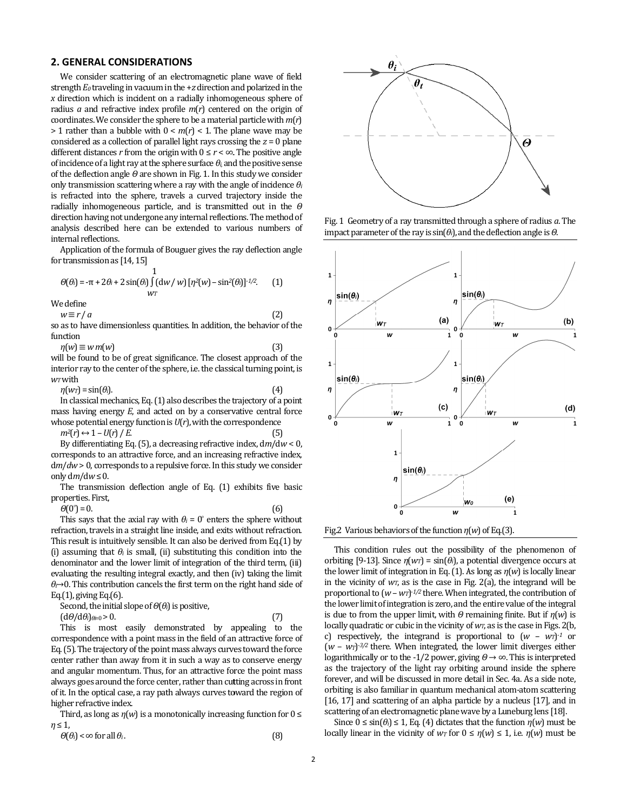# **2. GENERAL CONSIDERATIONS**

We consider scattering of an electromagnetic plane wave of field strength *E0* traveling in vacuum in the +*z* direction and polarized in the *x* direction which is incident on a radially inhomogeneous sphere of radius  $a$  and refractive index profile  $m(r)$  centered on the origin of coordinates. We consider the sphere to be a material particle with  $m(r)$  $> 1$  rather than a bubble with  $0 < m(r) < 1$ . The plane wave may be  $> 1$  rather than a bubble with  $0 < m(r) < 1$ . The plane wave may be considered as a collection of parallel light rays crossing the *z* = 0 plane different distances *r* from the origin with  $0 \le r < \infty$ . The positive angle of incidence of a light ray at the sphere surface *θi,* and the positive sense of the deflection angle *Θ* are shown in Fig. 1. In this study we consider only transmission scattering where a ray with the angle of incidence  $\theta_i$ is refracted into the sphere, travels a curved trajectory inside the radially inhomogeneous particle, and is transmitted out in the *Θ* direction having not undergone any internal reflections. The method of analysis described here can be extended to various numbers of internal reflections. alysis described here can be extended to various numbers of<br>ernal reflections.<br>Application of the formula of Bouguer gives the ray deflection angle ider scattering of an electromagnetic plane wave of field<br>traveling in vacuum in the +z direction and polarized in the<br>which is incident on a radially inhomogeneous sphere of<br>d refractive index profile  $m(r)$  centered on t fht ray at the sphere surface  $θ$ *i* and the positive sense agle  $θ$  are shown in Fig. 1. In this study we consider scattering where a ray with the angle of incidence  $θ$ *i* 

for transmission as [14, 15]

$$
\Theta(\theta_i) = -\pi + 2\theta_i + 2\sin(\theta_i)\int_{W_T} (\mathrm{d}w / w) \left[\eta^2(w) - \sin^2(\theta_i)\right]^{1/2}.
$$
 (1)

We define

*w* ≡ *r* / *a* so as to have dimensionless quantities. In addition, the behavior of the function (2)

 $\eta(w) \equiv w \, m(w)$ will be found to be of great significance. The closest approach of the (3)

interior ray to the center of the sphere, i.e. the classical turning point, is *wT* with found to be of great significance. The closest approach of the ray to the center of the sphere, i.e. the classical turning point,  $= \sin(\theta_i)$ . (4)

 $\eta(w_T) = \sin(\theta_i).$ In classical mechanics, Eq. (1) also describes the trajectory of a point mass having energy *E*, and acted on by a conservative central force whose potential energy function is *U*(*r*), with the correspondence  $m^2(r) \leftrightarrow 1-U(r)/E$ . 1) also describes the trajectory of a protected on by a conservative central ion is  $U(r)$ , with the correspondence (5)

By differentiating Eq. (5), a decreasing refractive index,  $dm/dw < 0$ , corresponds to an attractive force, and an increasing refractive index, d*m*/*dw* > 0, corresponds to a repulsive force. In this study we consider only  $dm/dw \leq 0$ . corresponds to an attractive force, and an increasing refractive in  $dm/dw > 0$ , corresponds to a repulsive force. In this study we concept only  $dm/dw \le 0$ .<br>The transmission deflection angle of Eq. (1) exhibits five propertie

The transmission deflection angle of Eq. (1) exhibits five basic properties. First,

*Θ*(0°) = 0.

This says that the axial ray with  $\theta_i = 0^\circ$  enters the sphere without This says that the axial ray with  $\theta_i = 0^\circ$  enters the sphere without refraction, travels in a straight line inside, and exits without refraction. This result is intuitively sensible. It can also be derived from Eq.(1) by (i) assuming that  $\theta_i$  is small, (ii) substituting this condition into the denominator and the lower limit of integration of the third term, (iii) evaluating the resulting integral exactly, and then (iv) taking the limit  $\theta$ *i* $\rightarrow$ 0. This contribution cancels the first term on the right hand side of Eq.(1), giving Eq.(6). This result is intuitively sensible. It can also be derived from Eq.(1) by (i) assuming that  $\theta_i$  is small, (ii) substituting this condition into the denominator and the lower limit of integration of the third term, (iii

Second, the initial slope of *Θ*(*θi*) is positive,  $(d\theta/d\theta_i)_{\theta_i=0} > 0$ .

This is most easily demonstrated by appealing to the correspondence with a point mass in the field of an attractive force of Eq. (5). The trajectory of the point mass always curves toward the force center rather than away from it in such a way as to conserve energy and angular momentum. Thus, for an attractive force the point mass This is most easily demonstrated by appealing to the correspondence with a point mass in the field of an attractive force of Eq. (5). The trajectory of the point mass always curves toward the force center rather than away of it. In the optical case, a ray path always curves toward the region of higher refractive index. it. In the optical case, a ray path always curves toward the region of<br>gher refractive index.<br>Third, as long as η(w) is a monotonically increasing function for 0 ≤

*η* ≤ 1,

$$
\Theta(\theta_i) < \infty \text{ for all } \theta_i. \tag{8}
$$



Fig. 1 Geometry of a ray transmitted through a sphere of radius a. The impact parameter of the ray is  $sin(\theta_i)$ , and the deflection angle is  $\theta$ .





This condition rules out the possibility of the phenomenon of This condition rules out the possibility of the phenomenon of orbiting [9-13]. Since  $\eta(w_i) = \sin(\theta_i)$ , a potential divergence occurs at the lower limit of integration in Eq. (1). As long as *η*(*w*) is locally linear in the vicinity of  $wr$ , as is the case in Fig. 2(a), the integrand will be proportional to  $(w - wr)^{1/2}$  there. When integrated, the contribution of the lower limit of integration is zero, and the entire value of the integr proportional to (*w* – *wT*) -*1/2* there. When integrated, the contribution of the lower limit of integration is zero, and the entire value of the integral is due to from the upper limit, with  $\theta$  remaining finite. But if  $\eta(w)$  is locally quadratic or cubic in the vicinity of  $w_T$ , as is the case in Figs. 2(b, c) respectively, the integrand is proportional to  $(w - wr)^{-1}$  or  $(w - wr)^{-3/2}$  there. When integrated, the lower limit diverges either logarithmically or to the -1/2 power, giving *Θ* → ∞. This is interpreted as the trajectory of the light ray orbiting around inside the sphere as the trajectory of the light ray orbiting around inside the sphere<br>forever, and will be discussed in more detail in Sec. 4a. As a side note, orbiting is also familiar in quantum mechanical atom-atom scattering [16, 17] and scattering of an alpha particle by a nucleus [17], and in [16, 17] and scattering of an alpha particle by a nucleus [17], and<br>scattering of an electromagnetic plane wave by a Luneburg lens [18].

Since  $0 \leq \sin(\theta_i) \leq 1$ , Eq. (4) dictates that the function  $\eta(w)$  must be locally linear in the vicinity of  $w_T$  for  $0 \le \eta(w) \le 1$ , i.e.  $\eta(w)$  must be

(7)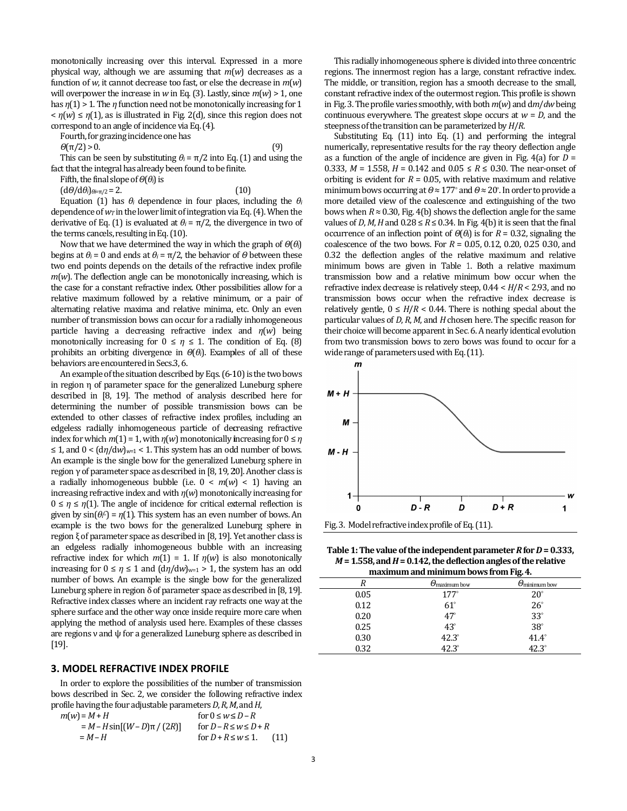monotonically increasing over this interval. Expressed in a more physical way, although we are assuming that *m*( *w*) decreases as a function of  $w$ , it cannot decrease too fast, or else the decrease in  $m(w)$ will overpower the increase in  $w$  in Eq. (3). Lastly, since  $m(w) > 1$ , one has *η*(1) > 1. The *η* function need not be monotonically increasing for 1<br>  $\langle \eta(w) \leq \eta(1) \rangle$ , as is illustrated in Fig. 2(d), since this region does not<br>
correspond to an angle of incidence via Eq. (4).<br>
Fourth, for gr  $\langle n(w) \rangle \leq n(1)$ , as is illustrated in Fig. 2(d), since this region does not correspond to an angle of incidence via Eq. (4).

Fourth, for grazing incidence one has

*Θ*(π/2) > 0.

This can be seen by substituting  $\theta_i = \pi/2$  into Eq. (1) and using the fact that the integral has already been found to be finite.<br>Fifth, the final slope of  $\Theta(\theta_i)$  is<br>(d $\Theta/d\theta_i$ ) $_{\theta i=n/2} = 2$ . (10)

Fifth, the final slope of *Θ*(*θi*) is

(d*Θ*/d*θi*)*θi*=π/2 = 2.

Equation (1) has  $\theta_i$  dependence in four places, including the  $\theta_i$ dependence of  $w_T$  in the lower limit of integration via Eq. (4). When the derivative of Eq. (1) is evaluated at  $\theta$ <sup>*i*</sup> =  $\pi/2$ , the divergence in two of the terms cancels, resulting in Eq. (10).

Now that we have determined the way in which the graph of  $Θ(θ<sub>i</sub>)$ begins at  $θ$ *i* = 0 and ends at  $θ$ *i* =  $π/2$ , the behavior of  $Θ$  between these two end points depends on the details of the refractive index profile  $m(w)$ . The deflection angle can be monotonically increasing, which is two end points depends on the details of the refractive index profile  $m(w)$ . The deflection angle can be monotonically increasing, which is the case for a constant refractive index. Other possibilities allow for a relative maximum followed by a relative minimum, or a pair of relative maximum followed by a relative minimum, or a pair of<br>alternating relative maxima and relative minima, etc. Only an even number of transmission bows can occur for a radially inhomogeneous number of transmission bows can occur for a radially inhomogeneous<br>particle having a decreasing refractive index and *η*(*w*) being monotonically increasing for  $0 \le \eta \le 1$ . The condition of Eq. (8) prohibits an orbiting divergence in *Θ*(*θi*). Examples of all of these behaviors are encountered in Secs.3, 6.

An example of the situation described by Eqs. (6-10) is the two bows in region η of parameter space for the generalized Luneburg sphere described in [8, 19]. The method of analysis described here for determining the number of possible transmission bows can be extended to other classes of refractive index profiles, including an edgeless radially inhomogeneous particle of decreasing refractive index for which  $m(1) = 1$ , with  $\eta(w)$  monotonically increasing for  $0 \le \eta$  $\leq$  1, and  $0 < (d\eta/dw)_{w=1}$  < 1. This system has an odd number of bows. ≤ 1, and 0 <  $(d\eta/dw)_{w=1}$  < 1. This system has an odd number of bows.<br>An example is the single bow for the generalized Luneburg sphere in region γ of parameter space as described in [8, 19, 20]. 20]. Another class is a radially inhomogeneous bubble (i.e.  $0 < m(w) < 1$ ) having an increasing refractive index and with *η*(*w*) monotonically increasing for  $0 \leq \eta \leq \eta(1)$ . The angle of incidence for critical external reflection is given by  $sin(\theta \cdot \theta) = \eta(1)$ . This system has an even number of bows. example is the two bows for the generalized Luneburg sphere in region ξ of parameter space as described in [8, 19]. Yet another class is an edgeless radially inhomogeneous bubble with an increasing refractive index for which  $m(1) = 1$ . If  $n(w)$  is also monotonically increasing for  $0 \le \eta \le 1$  and  $(d\eta/dw)_{w=1} > 1$ , the system has an odd number of bows. An example is the single bow for the generalized Luneburg sphere in region δ of parameter space as described in [8, Refractive index classes where an incident ray refracts one way at the sphere surface and the other way once inside require more care when applying the method of analysis used here. Examples of these classes are regions ν and ψ for a generalized Luneburg sphere as described in [19]. An example of the situation described by Eqs. (6-10) is the two bows<br>in region  $\eta$  of parameter space for the generalized Luneburg sphere<br>described in [8, 19]. The method of analysis described here for<br>determining the nu d with  $\eta(w)$  monotonically increasing for<br>) cidence for critical external reflection is<br>system has an even number of bows. An Formular parameter space as described in [8, 19]. Yet another class is radially inhomogeneous bubble with an increasing index for which  $m(1) = 1$ . If  $\eta(w)$  is also monotonically for  $0 \le \eta \le 1$  and  $\left(\frac{d\eta}{dw}\right)_{w=1} > 1$ cive index classes where an incident ray refracts one way<br>re surface and the other way once inside require more care<br>ing the method of analysis used here. Examples of these c<br>gions  $v$  and  $\psi$  for a generalized Luneburg

# **3. MODEL REFRACTIVE INDEX PROFILE**

In order to explore the possibilities of the number of transmission bows described in Sec. 2, we consider the following refractive index profile having the four adjustable parameters *D*, *R*, *M*

| $m(w) = M + H$                    | for $0 \leq w \leq D - R$     |      |
|-----------------------------------|-------------------------------|------|
| = $M - H \sin[(W - D)\pi / (2R)]$ | for $D - R \leq w \leq D + R$ |      |
| $=M-H$                            | for $D+R\leq w \leq 1$ .      | (11) |

This radially inhomogeneous sphere is divided into three concentric regions. The innermost region has a large, constant refractive index. The middle, or transition, region has a smooth decrease to the small, constant refractive index of the outermost region. in Fig. 3. The profile varies smoothly, with both  $m(w)$  and dm/dw being continuous everywhere. The greatest slope occurs at  $w = D$ , and the steepness of the transition can be parameterized by  $H/R$ . radially inhomogeneous sphere is divided into three concentric<br>The innermost region has a large, constant refractive index.<br>ddle, or transition, region has a smooth decrease to the small,<br>tive trefractive index of the oute

Substituting Eq. (11) into Eq. (1) and performing the integral numerically, representative results for the ray theory deflection angle as a function of the angle of incidence are given in Fig. 4(a) for  $D =$ 0.333,  $M = 1.558$ ,  $H = 0.142$  and  $0.05 \le R \le 0.30$ . The near-onset of orbiting is evident for  $R = 0.05$ , with relative maximum and relative minimum bows occurring at *Θ* ≈ 177° and *Θ* ≈ 20° . In order to provide a more detailed view of the coalescence and extinguishing of the two more detailed view of the coalescence and extinguishing of the two bows when  $R \approx 0.30$ , Fig. 4(b) shows the deflection angle for the same values of *D*, *M*, *H* and  $0.28 \le R \le 0.34$ . In Fig. 4(b) it is seen that the final occurrence of an inflection point of *Θ*(*θ<sup>i</sup>* ) is for *R* = 0.32, signaling the coalescence of the two bows. For *R* = 0.05, 0.12, 0.20, 0.25 0.30, and 0.32 the deflection angles of the relative maximum and relative minimum bows are given in Table 1. Both a relative maximum transmission bow and a relative minimum bow occur when the transmission bow and a relative minimum bow occur when the refractive index decrease is relatively steep,  $0.44 < H/R < 2.93$ , and no transmission bows occur when the refractive index decrease is relatively gentle,  $0 \leq H/R < 0.44$ . There is nothing special about the particular values of *D*, *R*, *M*, and *H* chosen here. their choice will become apparent in Sec. 6. A nearly identical evolution from two transmission bows to zero bows was found to occur for a wide range of parameters used with Eq. (11). wide range of parameters used with Eq. (11). bstituting Eq.  $(11)$  into Eq.  $(1)$  and performing the integral erically, representative results for the ray theory deflection angle function of the angle of incidence are given in Fig.  $4(a)$  for  $D =$ e of the two bows. For  $R = 0.05$ , 0.12, 0.20, 0.25 0.30, and deflection angles of the relative maximum and relative bows are given in Table 1. Both a relative maximum transmission bows occur when the refractive index decrease is relatively gentle,  $0 \leq H/R < 0.44$ . There is nothing special about the particular values of *D*, *R*, *M*, and *H* chosen here. The specific reason for



**Table 1: The value of the independent parameter**  $R$  **for**  $D = 0.333$ **,**  $M = 1.558$ , and  $H = 0.142$ , the deflection angles of the relative maximum and minimum bows from Fig. 4.

| maximum and minimum bows from Fig. 4. |                                 |                                 |  |  |  |  |
|---------------------------------------|---------------------------------|---------------------------------|--|--|--|--|
|                                       | $\theta$ <sub>maximum</sub> bow | $\theta$ <sub>minimum</sub> bow |  |  |  |  |
| 0.05                                  | $177^\circ$                     | $20^{\circ}$                    |  |  |  |  |
| 0.12                                  | $61^{\circ}$                    | $26^{\circ}$                    |  |  |  |  |
| 0.20                                  | $47^\circ$                      | $33^\circ$                      |  |  |  |  |
| 0.25                                  | $43^\circ$                      | $38^\circ$                      |  |  |  |  |
| 0.30                                  | $42.3^\circ$                    | $41.4^\circ$                    |  |  |  |  |
| 0.32                                  | $42.3^\circ$                    | $42.3^\circ$                    |  |  |  |  |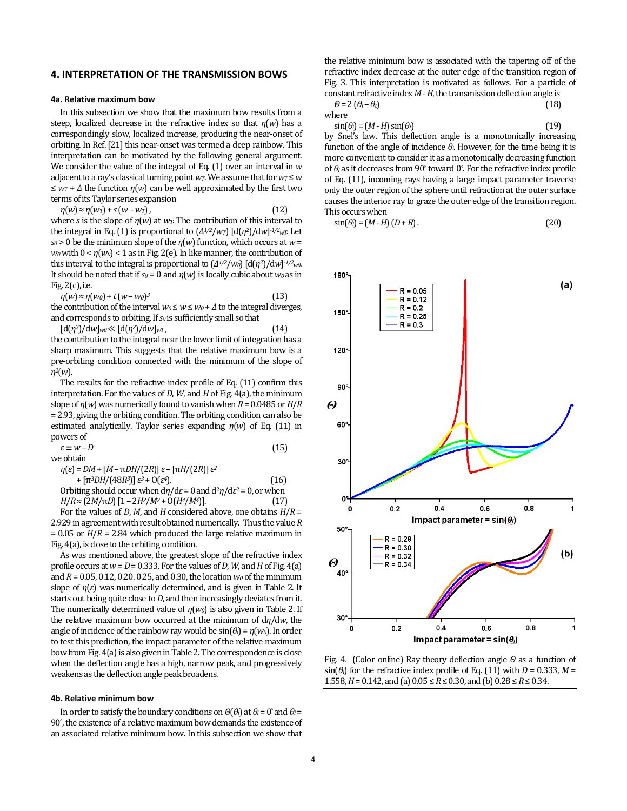#### **4. INTERPRETATION OF THE TRANSMISSION BOWS**

#### **4a. Relative maximum bow**

In this subsection we show that the maximum bow results from a steep, localized decrease in the refractive index so that *η*(*w*) has a correspondingly slow, localized increase, producing the near-onset of orbiting. In Ref. [21] this near-onset was termed a deep rainbow. This interpretation can be motivated by the following general argument. We consider the value of the integral of Eq. (1) over an interval in *w* adjacent to a ray's classical turning point  $w_T$ . We assume that for  $w_T \leq w$  $\leq w_T + \Delta$  the function  $\eta(w)$  can be well approximated by the first two terms of its Taylor series expansion

 $\eta(w) \approx \eta(w) + s(w - w)$ ,

where *s* is the slope of *η*(*w*) at *wT*. The contribution of this interval to the integral in Eq. (1) is proportional to (*Δ1/2*/*wT*) [d(*η2*)/d*w*] *-1/2wT*. Let *s*<sup> $0$ </sup> be the minimum slope of the *η*(*w*) function, which occurs at *w* = *w0* with 0 < *η*(*w0*) < 1 as in Fig. 2(e). In like manner, the contribution of this interval to the integral is proportional to (*Δ1/2*/*w0*) [d(*η2*)/d*w*] *-1/2w0*. It should be noted that if *s0* = 0 and *η*(*w*) is locally cubic about *w0* as in Fig. 2(c), i.e.

$$
\eta(w) \approx \eta(w_0) + t(w - w_0)^3 \tag{13}
$$

the contribution of the interval  $w_0 \le w \le w_0 + \Delta$  to the integral diverges, and corresponds to orbiting. If *s0* is sufficiently small so that

 $[d(n^2)/dw]_{w0} \ll [d(n^2)/dw]_{wT}$ , (14) the contribution to the integral near the lower limit of integration has a sharp maximum. This suggests that the relative maximum bow is a pre-orbiting condition connected with the minimum of the slope of *η2*(*w*).

The results for the refractive index profile of Eq. (11) confirm this interpretation. For the values of *D*, *W*, and *H* of Fig. 4(a), the minimum slope of *η*(*w*) was numerically found to vanish when *R* = 0.0485 or *H*/*R* = 2.93, giving the orbiting condition. The orbiting condition can also be estimated analytically. Taylor series expanding *η*(*w*) of Eq. (11) in powers of

 $\varepsilon \equiv w - D$  (15) we obtain

*η*(*ε*) = *DM* + [*M* – π*DH*/(2*R*)] *ε* – [π*H*/(2*R*)] *ε 2* + [π3*DH*/(48*R3*)] *ε <sup>3</sup>* + O(*ε <sup>4</sup>*). (16) Orbiting should occur when  $d\eta/d\varepsilon = 0$  and  $d^2\eta/d\varepsilon^2 = 0$ , or when  $H/R ≈ (2M/πD) [1 – 2H<sup>2</sup>/M<sup>2</sup> + O(H<sup>4</sup>/M<sup>4</sup>)].$  (17)

For the values of *D*, *M*, and *H* considered above, one obtains *H*/*R* = 2.929 in agreement with result obtained numerically. Thus the value *R* = 0.05 or *H*/*R* = 2.84 which produced the large relative maximum in Fig. 4(a), is close to the orbiting condition.

As was mentioned above, the greatest slope of the refractive index profile occurs at  $w = D = 0.333$ . For the values of *D*, *W*, and *H* of Fig. 4(a) and *R* = 0.05, 0.12, 0.20. 0.25, and 0.30, the location *w0* of the minimum slope of *η*(*ε*) was numerically determined, and is given in Table 2. It starts out being quite close to *D*, and then increasingly deviates from it. The numerically determined value of *η*(*w0*) is also given in Table 2. If the relative maximum bow occurred at the minimum of d*η*/d*w*, the angle of incidence of the rainbow ray would be  $sin(\theta_i) = \eta(w_0)$ . In order to test this prediction, the impact parameter of the relative maximum bow from Fig. 4(a) is also given in Table 2. The correspondence is close when the deflection angle has a high, narrow peak, and progressively weakens as the deflection angle peak broadens.

#### **4b. Relative minimum bow**

In order to satisfy the boundary conditions on  $\Theta(\theta_i)$  at  $\theta_i = 0^\circ$  and  $\theta_i = 0$ 90° , the existence of a relative maximum bow demands the existence of an associated relative minimum bow. In this subsection we show that

the relative minimum bow is associated with the tapering off of the refractive index decrease at the outer edge of the transition region of Fig. 3. This interpretation is motivated as follows. For a particle of constant refractive index *M* - *H*, the transmission deflection angle is

$$
\Theta = 2 \left( \theta_i - \theta_i \right) \tag{18}
$$
 where

 $\sin(\theta_i) = (M - H)\sin(\theta_t)$  (19)

by Snel's law. This deflection angle is a monotonically increasing function of the angle of incidence *θi*. However, for the time being it is more convenient to consider it as a monotonically decreasing function of *θi* as it decreases from 90° toward 0° . For the refractive index profile of Eq. (11), incoming rays having a large impact parameter traverse only the outer region of the sphere until refraction at the outer surface causes the interior ray to graze the outer edge of the transition region. This occurs when

$$
\sin(\theta_i) = (M - H)(D + R). \tag{20}
$$



Fig. 4. (Color online) Ray theory deflection angle *Θ* as a function of  $\sin(\theta_i)$  for the refractive index profile of Eq. (11) with *D* = 0.333, *M* = 1.558, *H* = 0.142, and (a)  $0.05 \le R \le 0.30$ , and (b)  $0.28 \le R \le 0.34$ .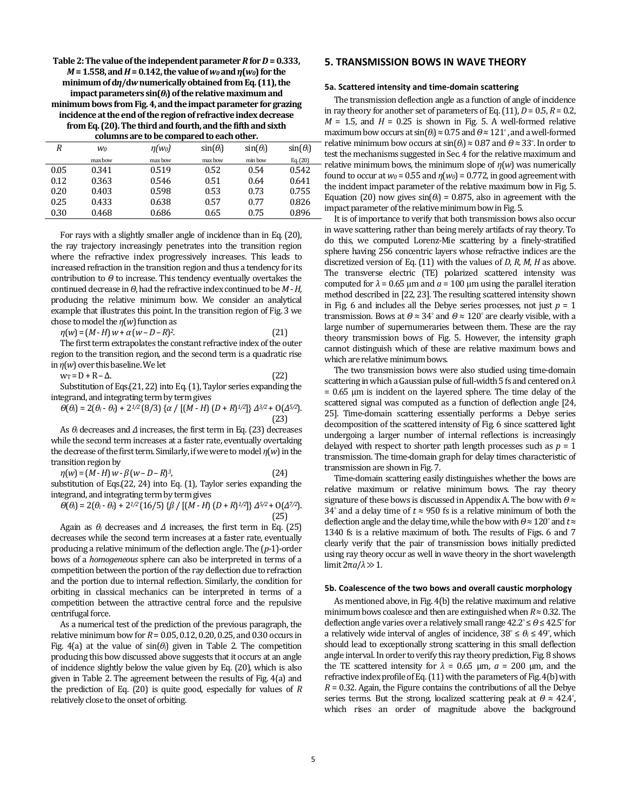| Table 2: The value of the independent parameter R for $D = 0.333$ ,     |
|-------------------------------------------------------------------------|
| $M = 1.558$ , and $H = 0.142$ , the value of $w_0$ and $n(w_0)$ for the |
| minimum of $d\eta/dw$ numerically obtained from Eq. (11), the           |
| impact parameters $sin(\theta_i)$ of the relative maximum and           |
| minimum bows from Fig. 4, and the impact parameter for grazing          |
| incidence at the end of the region of refractive index decrease         |
| from Eq. (20). The third and fourth, and the fifth and sixth            |
| columns are to be compared to each other.                               |

| R    | W0      | $n(w_0)$ | $sin(\theta_i)$ | $sin(\theta_i)$ | $sin(\theta_i)$ |
|------|---------|----------|-----------------|-----------------|-----------------|
|      | max bow | max bow  | max bow         | min bow         | Eq. (20)        |
| 0.05 | 0.341   | 0.519    | 0.52            | 0.54            | 0.542           |
| 0.12 | 0.363   | 0.546    | 0.51            | 0.64            | 0.641           |
| 0.20 | 0.403   | 0.598    | 0.53            | 0.73            | 0.755           |
| 0.25 | 0.433   | 0.638    | 0.57            | 0.77            | 0.826           |
| 0.30 | 0.468   | 0.686    | 0.65            | 0.75            | 0.896           |

For rays with a slightly smaller angle of incidence than in Eq. (20), the ray trajectory increasingly penetrates into the transition region where the refractive index progressively increases. This leads to increased refraction in the transition region and thus a tendency for its contribution to *Θ* to increase. This tendency eventually overtakes the continued decrease in *Θ*, had the refractive index continued to be *M* - *H*, producing the relative minimum bow. We consider an analytical example that illustrates this point. In the transition region of Fig. 3 we chose to model the *η*(*w*) function as

 $\eta(w) = (M - H) w + \alpha (w - D - R)^2$ . *<sup>2</sup>*. (21)

The first term extrapolates the constant refractive index of the outer region to the transition region, and the second term is a quadratic rise in *η*(*w*) over this baseline. We let

 $w_T = D + R - \Delta$ . (22)

Substitution of Eqs.(21, 22) into Eq. (1), Taylor series expanding the integrand, and integrating term by term gives

$$
\Theta(\theta_i) = 2(\theta_i - \theta_i) + 2^{1/2} (8/3) \{ \alpha / [(M - H) (D + R)^{1/2}] \} \Delta^{3/2} + O(\Delta^{5/2}).
$$
\n(23)

As *θi* decreases and *Δ* increases, the first term in Eq. (23) decreases while the second term increases at a faster rate, eventually overtaking the decrease of the first term. Similarly, if we were to model *η*(*w*) in the transition region by

 $\eta(w) = (M - H) w - \beta (w - D - R)^3$ *<sup>3</sup>*, (24)

substitution of Eqs.(22, 24) into Eq. (1), Taylor series expanding the integrand, and integrating term by term gives

$$
\Theta(\theta_i) = 2(\theta_i - \theta_i) + 2^{1/2} (16/5) \{\beta / [(M - H)(D + R)^{1/2}]\} \Delta^{5/2} + O(\Delta^{7/2}).
$$
\n(25)

Again as  $\theta_i$  decreases and  $\Delta$  increases, the first term in Eq. (25) decreases while the second term increases at a faster rate, eventually producing a relative minimum of the deflection angle. The (*p*-1)-order bows of a *homogeneous* sphere can also be interpreted in terms of a competition between the portion of the ray deflection due to refraction and the portion due to internal reflection. Similarly, the condition for orbiting in classical mechanics can be interpreted in terms of a competition between the attractive central force and the repulsive centrifugal force.

As a numerical test of the prediction of the previous paragraph, the relative minimum bow for *R* = 0.05, 0.12, 0.20, 0.25, and 0.30 occurs in Fig. 4(a) at the value of  $sin(\theta_i)$  given in Table 2. The competition producing this bow discussed above suggests that it occurs at an angle of incidence slightly below the value given by Eq. (20), which is also given in Table 2. The agreement between the results of Fig. 4(a) and the prediction of Eq. (20) is quite good, especially for values of *R* relatively close to the onset of orbiting.

# **5. TRANSMISSION BOWS IN WAVE THEORY**

#### **5a. Scattered intensity and time-domain scattering**

The transmission deflection angle as a function of angle of incidence in ray theory for another set of parameters of Eq.  $(11)$ ,  $D = 0.5$ ,  $R = 0.2$ ,  $M = 1.5$ , and  $H = 0.25$  is shown in Fig. 5. A well-formed relative maximum bow occurs at  $\sin(\theta_i) \approx 0.75$  and  $\theta \approx 121^\circ$ , and a well-formed relative minimum bow occurs at  $sin(\theta_i) \approx 0.87$  and  $\theta \approx 33^\circ$ . In order to test the mechanisms suggested in Sec. 4 for the relative maximum and relative minimum bows, the minimum slope of *η*(*w*) was numerically found to occur at  $w_0 = 0.55$  and  $\eta(w_0) = 0.772$ , in good agreement with the incident impact parameter of the relative maximum bow in Fig. 5. Equation (20) now gives  $sin(\theta_i) = 0.875$ , also in agreement with the impact parameter of the relative minimum bow in Fig. 5.

It is of importance to verify that both transmission bows also occur in wave scattering, rather than being merely artifacts of ray theory. To do this, we computed Lorenz-Mie scattering by a finely-stratified sphere having 256 concentric layers whose refractive indices are the discretized version of Eq. (11) with the values of *D*, *R*, *M*, *H* as above. The transverse electric (TE) polarized scattered intensity was computed for  $λ = 0.65$  μm and  $a = 100$  μm using the parallel iteration method described in [22, 23]. The resulting scattered intensity shown in Fig. 6 and includes all the Debye series processes, not just  $p = 1$ transmission. Bows at  $Θ ≈ 34°$  and  $Θ ≈ 120°$  are clearly visible, with a large number of supernumeraries between them. These are the ray theory transmission bows of Fig. 5. However, the intensity graph cannot distinguish which of these are relative maximum bows and which are relative minimum bows.

The two transmission bows were also studied using time-domain scattering in which a Gaussian pulse of full-width 5 fs and centered on *λ*  $= 0.65$  μm is incident on the layered sphere. The time delay of the scattered signal was computed as a function of deflection angle [24, 25]. Time-domain scattering essentially performs a Debye series decomposition of the scattered intensity of Fig. 6 since scattered light undergoing a larger number of internal reflections is increasingly delayed with respect to shorter path length processes such as  $p = 1$ transmission. The time-domain graph for delay times characteristic of transmission are shown in Fig. 7.

Time-domain scattering easily distinguishes whether the bows are relative maximum or relative minimum bows. The ray theory signature of these bows is discussed in Appendix A. The bow with *Θ* ≈ 34 $\degree$  and a delay time of  $t \approx 950$  fs is a relative minimum of both the deflection angle and the delay time, while the bow with *Θ* ≈ 120° and *t* ≈ 1340 fs is a relative maximum of both. The results of Figs. 6 and 7 clearly verify that the pair of transmission bows initially predicted using ray theory occur as well in wave theory in the short wavelength limit 2π*a*/*λ*≫ 1.

#### **5b. Coalescence of the two bows and overall caustic morphology**

As mentioned above, in Fig. 4(b) the relative maximum and relative minimum bows coalesce and then are extinguished when  $R \approx 0.32$ . The deflection angle varies over a relatively small range 42.2° ≤ *Θ* ≤ 42.5° for a relatively wide interval of angles of incidence,  $38^\circ \le \theta_i \le 49^\circ$ , which should lead to exceptionally strong scattering in this small deflection angle interval. In order to verify this ray theory prediction, Fig. 8 shows the TE scattered intensity for  $λ = 0.65 \, \mu m$ ,  $a = 200 \, \mu m$ , and the refractive index profile of Eq. (11) with the parameters of Fig. 4(b) with  $R = 0.32$ . Again, the Figure contains the contributions of all the Debye series terms. But the strong, localized scattering peak at *Θ* ≈ 42.4°, which rises an order of magnitude above the background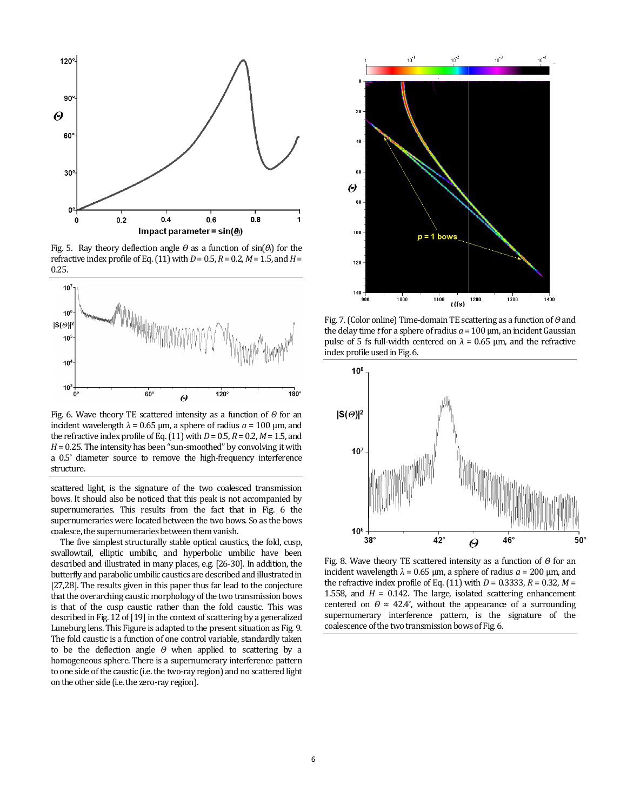

Fig. 5. Ray theory deflection angle  $\Theta$  as a function of sin( $\theta$ *i*) for the refractive index profile of Eq.  $(11)$  with  $D = 0.5$ ,  $R = 0.2$ ,  $M = 1.5$ , and  $H =$ 0.25.



Fig. 6. Wave theory TE scattered intensity as a function of *Θ* for an incident wavelength  $λ = 0.65 \mu m$ , a sphere of radius  $a = 100 \mu m$ , and the refractive index profile of Eq.  $(11)$  with  $D = 0.5$ ,  $R = 0.2$ ,  $M = 1.5$ , and  $H = 0.25$ . The intensity has been "sun-smoothed" by convolving it with a  $0.5^{\circ}$  diameter source to remove the high-frequency interference a 0.5° diameter source to remove the high-frequency structure.

scattered light, is the signature of the two coalesced transmission bows. It should also be noticed that this peak is not accompanied by supernumeraries. This results from the fact that in Fig. 6 the supernumeraries were located between the two bows. So as the bows coalesce, the supernumeraries between them vanish. is the signature of the two coalesced transmission<br>also be noticed that this peak is not accompanied by<br>s. This results from the fact that in Fig. 6 the

The five simplest structurally stable optical caustics, the fold, cusp, swallowtail, elliptic umbilic, and hyperbolic umbilic have been described and illustrated in many places, e.g. [26-30]. In addition, the butterfly and parabolic umbilic caustics are described and illustrated in [27,28]. The results given in this paper thus far lead to the conjecture that the overarching caustic morphology of the two transmission bows supernumeraries were located between the two bows. So as the bows coalesce, the supernumeraries between them vanish.<br>The five simplest structurally stable optical caustics, the fold, cusp, swallowtail, elliptic umbilic, an described in Fig. 12 of [19] in the context of scattering by a generalized described in Fig. 12 of [19] in the context of scattering by a generalized<br>Luneburg lens. This Figure is adapted to the present situation as Fig. 9. The fold caustic is a function of one control variable, standardly taken to be the deflection angle *Θ* when applied to scattering by a homogeneous sphere. There is a supernumerary interference pattern to one side of the caustic (i.e. the two-ray region) and no scattered light on the other side (i.e. the zero-ray region).



the delay time *t* for a sphere of radius  $a = 100 \, \mu$ m, an incident Gaussian pulse of 5 fs full-width centered on  $λ = 0.65 \, \mu m$ , and the refractive index profile used in Fig. 6. Fig. 7. (Color online) Time-domain TE scattering as a function of *Θ* and



Fig. 8. Wave theory TE scattered intensity as a function of  $Θ$  for an incident wavelength  $\lambda = 0.65$  μm, a sphere of radius  $a = 200$  μm, and the refractive index profile of Eq.  $(11)$  with  $D = 0.3333$ ,  $R = 0.32$ ,  $M =$ 1.558, and  $H = 0.142$ . The large, isolated scattering enhancement centered on  $\theta \approx 42.4^{\circ}$ , without the appearance of a surrounding supernumerary interference pattern, is the signature of the coalescence of the two transmission bows of Fig. = 0.142. The large, isolated scattering enha<br> $\theta \approx 42.4^{\circ}$ , without the appearance of a surry interference pattern, is the signature<br>the two transmission bows of Fig. 6.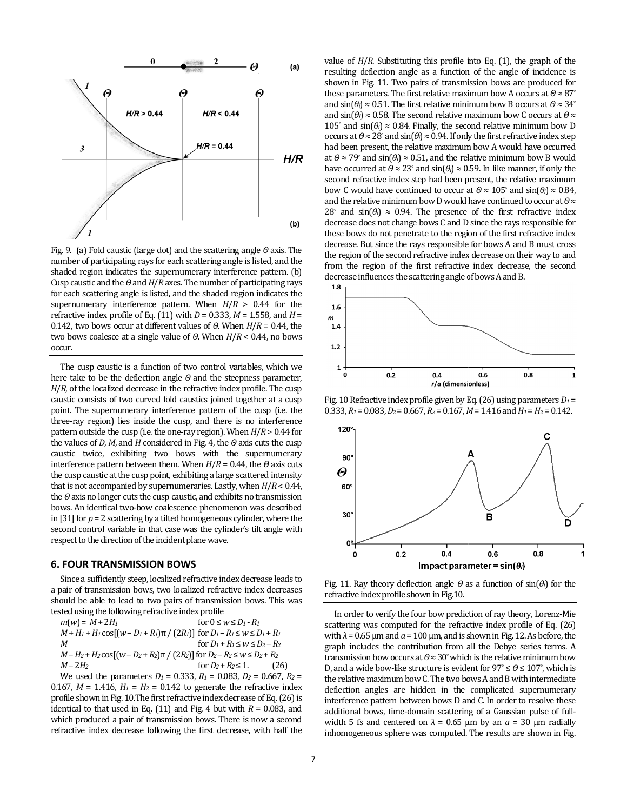

Fig. 9. (a) Fold caustic (large dot) and the scattering angle *Θ* axis. The number of participating rays for each scattering angle is listed, and the number of participating rays for each scattering angle is listed, and the<br>shaded region indicates the supernumerary interference pattern. (b) Cusp caustic and the *Θ* and *H*/*R* axes. The number of participating rays Cusp caustic and the  $\theta$  and  $H/R$  axes. The number of participating rays for each scattering angle is listed, and the shaded region indicates the supernumerary interference pattern. When  $H/R > 0.44$  for the refractive index profile of Eq.  $(11)$  with  $D = 0.333$ ,  $M = 1.558$ , and  $H =$ 0.142, two bows occur at different values of *Θ*. When *H*/*R* = 0.44, the two bows coalesce at a single value of *Θ*. When *H*/ *R* < 0.44, no bows occur.

The cusp caustic is a function of two control variables, which we here take to be the deflection angle *Θ* and the steepness parameter, *H*/*R*, of the localized decrease in the refractive index profile. The cusp caustic consists of two curved fold caustics joined together at a cusp point. The supernumerary interference pattern of the cusp (i.e. the three-ray region) lies inside the cusp, and there is no interference pattern outside the cusp (i.e. the one-ray region). When *H*/*R* > 0.44 for the values of *D*, *M*, and *H* considered in Fig. 4, the *Θ Θ* axis cuts the cusp caustic twice, exhibiting two bows with the supernumerary interference pattern between them. When *H*/*R* = 0.44, the *Θ* axis cuts the cusp caustic at the cusp point, exhibiting a large scattered intensity large scattered that is not accompanied by supernumeraries. Lastly, when *H*/*R* < 0.44, the *Θ*axis no longer cuts the cusp caustic, and exhibits no transmission the  $\theta$  axis no longer cuts the cusp caustic, and exhibits no transmission<br>bows. An identical two-bow coalescence phenomenon was described in [31] for  $p = 2$  scattering by a tilted homogeneous cylinder, where the second control variable in that case was the cylinder's tilt angle with respect to the direction of the incident plane wave. a function of two control variables, which we<br>flection angle  $\theta$  and the steepness parameter,<br>crease in the refractive index profile. The cusp c consists of two curved fold caustics joined together at a cusp<br>The supernumerary interference pattern of the cusp (i.e. the<br>ray region) lies inside the cusp, and there is no interference [31] for  $p = 2$  scattering by a tilted homogeneous cylinder, where the cond control variable in that case was the cylinder's tilt angle with spect to the direction of the incident plane wave.<br> **FOUR TRANSMISSION BOWS** Sin

#### **6. FOUR TRANSMISSION BOWS**

Since a sufficiently steep, localized refractive index decrease leads to a pair of transmission bows, two localized refractive index decreases a pair of transmission bows, two localized refractive index decreases should be able to lead to two pairs of transmission bows. This was tested using the following refractive index profile

$$
m(w) = M + 2H_1
$$
 for  $0 \le w \le D_1 - R_1$   
\n
$$
M + H_1 + H_1 \cos[(w - D_1 + R_1)\pi / (2R_1)]
$$
 for  $D_1 - R_1 \le w \le D_1 + R_1$   
\n
$$
M
$$
 for  $D_1 + R_1 \le w \le D_2 - R_2$   
\n
$$
M - H_2 + H_2 \cos[(w - D_2 + R_2)\pi / (2R_2)]
$$
 for  $D_2 - R_2 \le w \le D_2 + R_2$   
\nfor  $D_2 + R_2 \le 1$ . (26)

We used the parameters  $D_1 = 0.333$ ,  $R_1 = 0.083$ ,  $D_2 = 0.667$ ,  $R_2 =$ 0.167,  $M = 1.416$ ,  $H_1 = H_2 = 0.142$  to generate the refractive index profile shown in Fig. 10.The first refractive index decrease of Eq. (26) is identical to that used in Eq.  $(11)$  and Fig. 4 but with  $R = 0.083$ , and which produced a pair of transmission bows. There is now a second refractive index decrease following the first decrease, with half the

resulting deflection angle as a function of the angle of incidence is resulting deflection angle as a function of the angle of incidence is shown in Fig. 11. Two pairs of transmission bows are produced for these parameters. The first relative maximum bow A occurs at *Θ* ≈ 87° and  $\sin(\theta_i) \approx 0.51$ . The first relative minimum bow B occurs at  $\theta \approx 34^{\circ}$ and sin(θ*i*) ≈ 0.58. The second relative maximum bow C occurs at θ ≈ 105° and  $\sin(\theta_i) \approx 0.84$ . Finally, the second relative minimum bow D occurs at *Θ* ≈ 28° and sin(*θi*) ≈ 0.94. If only the first refractive index step had been present, the relative maximum bow A would have occurred at  $\theta \approx 79^{\circ}$  and  $\sin(\theta_i) \approx 0.51$ , and the relati have occurred at  $\theta \approx 23^{\circ}$  and  $\sin(\theta_i) \approx 0.59$ . In like manner, if only the second refractive index step had been present, the relative maximum second refractive index step had been present, the relative maximum<br>bow C would have continued to occur at  $\theta \approx 105^\circ$  and  $sin(\theta_i) \approx 0.84$ , and the relative minimum bow D would have continued to occur at θ≈ 28° and  $sin(\theta_i) \approx 0.94$ . The presence of the first refractive index decrease does not change bows C and D since the rays responsible for these bows do not penetrate to the region of the first refractive index decrease. But since the rays responsible for bows A and B must cross the region of the second refractive index decrease on their way to and from the region of the first refractive index decrease, the second decrease influences the scattering angle of bows A and B.<br>1.8  $_{1}$ value of  $H/R$ . Substituting this profile into Eq. (1), the graph of the 0.84. Finally, the second relative minimum bow D nd sin( $\theta$ )  $\approx$  0.94. If only the first refractive index step the relative maximum bow A would have occurred  $\theta$ )  $\approx$  0.51, and the relative minimum bow B would 28° and sin( $\theta_i$ )  $\approx$  0.94. The presence of the first refractiv decrease does not change bows C and D since the rays responsities the region of the first refractive decrease. But since the rays responsible for bows A an



Fig. 10 Refractive index profile given by Eq. (26) using parameters *D1* = 0.333,  $R_1$  = 0.083,  $D_2$  = 0.667,  $R_2$  = 0.167,  $M$  = 1.416 and  $H_1$  =  $H_2$  = 0.142.



Fig. 11. Ray theory deflection angle  $\theta$  as a function of sin( $\theta$ *i*) for the refractive index profile shown in Fig.10.

In order to verify the four bow prediction of ray theory, Lorenz-Mie scattering was computed for the refractive index profile of Eq. (26) scattering was computed for the refractive index profile of Eq. (26) with  $\lambda$  = 0.65  $\mu$ m and  $a$  = 100  $\mu$ m, and is shown in Fig. 12. As before, the graph includes the contribution from all the Debye series terms. A transmission bow occurs at *Θ* ≈ 30°which is the relative minimum bow D, and a wide bow-like structure is evident for 97° ≤  $Θ$  ≤ 107°, which is the relative maximum bow C. The two bows A and B with intermediate deflection angles are hidden in the complicated supernumerary<br>interference pattern between bows D and C. In order to resolve these interference pattern between bows D and C. In order to resolve these additional bows, time-domain scattering of a Gaussian pulse of fullwidth 5 fs and centered on  $\lambda = 0.65$   $\mu$ m by an  $\alpha = 30$   $\mu$ m radially inhomogeneous sphere was computed. The results are shown in Fig.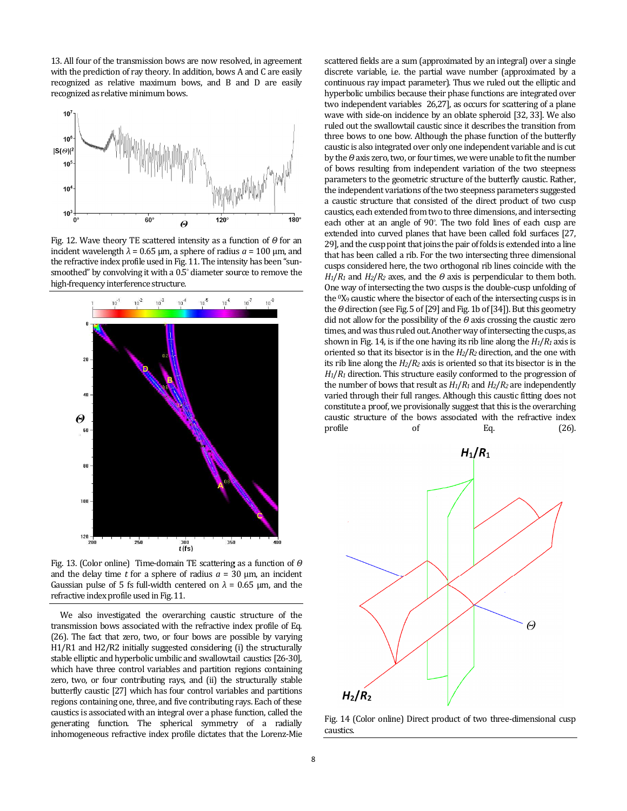13. All four of the transmission bows are now resolved, in agreement with the prediction of ray theory. In addition, bows A and C are easily recognized as relative maximum bows, and B and D recognized as relative minimum bows. of the transmission bows are now resolved, in agreement<br>diction of ray theory. In addition, bows A and C are easily<br>as relative maximum bows, and B and D are easily



Fig. 12. Wave theory TE scattered intensity as a function of  $Θ$  for an incident wavelength  $λ = 0.65 \mu m$ , a sphere of radius  $a = 100 \mu m$ , and the refractive index profile used in Fig. 11. The intensity has been "sunsmoothed" by convolving it with a 0.5° diameter source to remove the high-frequency interference structure.



Fig. 13. (Color online) Time-domain TE scattering as a function of  $\Theta$ and the delay time  $t$  for a sphere of radius  $a = 30 \mu m$ , an incident Gaussian pulse of 5 fs full-width centered on  $λ = 0.65$  μm, and the refractive index profile used in Fig. 11.

We also investigated the overarching caustic structure of the transmission bows associated with the refractive index profile of Eq. (26). The fact that zero, two, or four bows are possible by varying H1/R1 and H2/R2 initially suggested considering (i) the structurally stable elliptic and hyperbolic umbilic and swallowtail caustics [26-30], which have three control variables and partition regions containing zero, two, or four contributing rays, and (ii) the structurally stable zero, two, or four contributing rays, and (ii) the structurally stable<br>butterfly caustic [27] which has four control variables and partitions regions containing one, three, and five contributing rays. Each of these caustics is associated with an integral over a phase function, called the generating function. The spherical symmetry of a radially inhomogeneous refractive index profile dictates that the Lorenz-Mie Gaussian pulse of 5 fs full-width centered on  $\lambda = 0.65$  µm, and the refractive index profile used in Fig. 11.<br>We also investigated the overarching caustic structure of the transmission bows associated with the refractive ated with an integral over a phase function, called the<br>tion. The spherical symmetry of a radially<br>refractive index profile dictates that the Lorenz-Mie scattered fields are a sum (approximated by an integral) over a single discrete variable, i.e. the partial wave number (approximated by a continuous ray impact parameter). Thus we ruled out the elliptic and hyperbolic umbilics because their phase functions are integrated over two independent variables 26,27], as occurs for scattering of a plane wave with side-on incidence by an oblate spheroid [32, 33]. We also ruled out the swallowtail caustic since it describes the transition from three bows to one bow. Although the phase function of the butterfly caustic is also integrated over only one independent variable and is cut by the *Θ*axis zero, two, or four times, we were unable to fit the number of bows resulting from independent variation of the two steepness ruled out the swallowtail caustic since it describes the transition from three bows to one bow. Although the phase function of the butterfly caustic is also integrated over only one independent variable and is cut by the the independent variations of the two steepness parameters suggested<br>a caustic structure that consisted of the direct product of two cusp<br>caustics, each extended from two to three dimensions, and intersecting<br>each other at a caustic structure that consisted of the direct product of two cusp caustics, each extended from two to three dimensions, and intersecting each other at an angle of 90° . The two fold lines extended into curved planes that have been called fold surfaces [27, 29], and the cusp point that joins the pair of folds is extended into a line that has been called a rib. For the two intersecting three dimensional cusps considered here, the two orthogonal rib lines coincide with the  $H_1/R_1$  and  $H_2/R_2$  axes, and the  $\Theta$  axis is perpendicular to them both. 29], and the cusp point that joins the pair of folds is extended into a line that has been called a rib. For the two intersecting three dimensional cusps considered here, the two orthogonal rib lines coincide with the  $H_$ the <sup>0</sup>X<sub>9</sub> caustic where the bisector of each of the intersecting cusps is in the *Θ* direction (see Fig. 5 of [29] and Fig. 1b of [ [34]). But this geometry did not allow for the possibility of the *Θ* axis crossing the caustic zero times, and was thus ruled out. Another way of intersecting the cusps, as shown in Fig. 14, is if the one having its rib line along the  $H_1/R_1$  axis is oriented so that its bisector is in the *H2*/ *R2* direction, and the one with its rib line along the  $H_2/R_2$  axis is oriented so that its bisector is in the  $H_1/R_1$  direction. This structure easily conformed to the progression of the number of bows that result as  $H_1/R_1$  and  $H_2/R_2$  are independently varied through their full ranges. Although this caustic fitting does not constitute a proof, we provisionally suggest that this is the overarching caustic structure of the bows associated with the refractive index profile of Eq. (26). scattered fields are a sum (approximated by an integral) over a single discrete variable, i.e. the partial wave number (approximated by a continuous ray impact parameter). Thus we ruled out the elliptic and hyperbolic umbi



Fig. 14 (Color online) Direct product of two three-dimensional cusp caustics.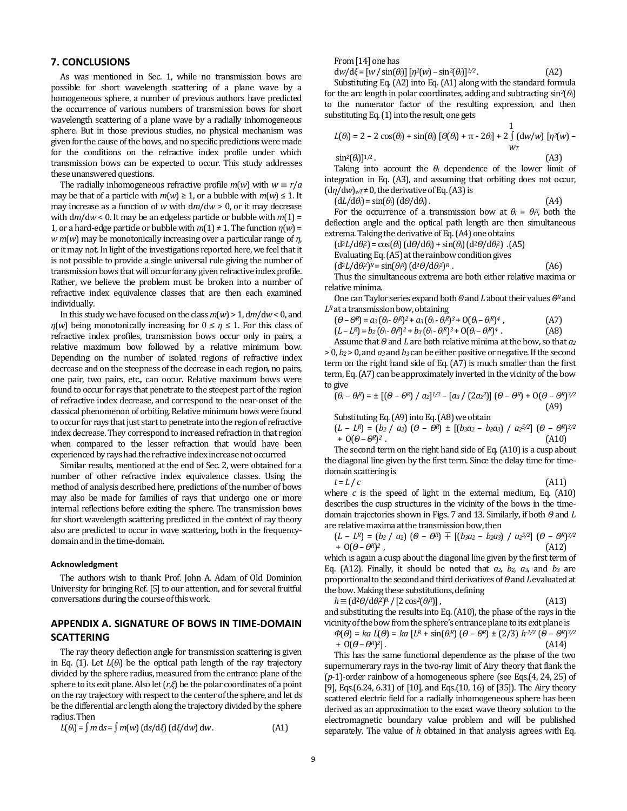# **7. CONCLUSIONS**

As was mentioned in Sec. 1, while no transmission bows are possible for short wavelength scattering of a plane wave by a homogeneous sphere, a number of previous authors have predicted the occurrence of various numbers of transmission bows for short wavelength scattering of a plane wave by a radially inhomogeneous sphere. But in those previous studies, no physical mechanism was given for the cause of the bows, and no specific predictions were made for the conditions on the refractive index profile under which transmission bows can be expected to occur. This study addresses these unanswered questions.

The radially inhomogeneous refractive profile  $m(w)$  with  $w \equiv r/a$ may be that of a particle with  $m(w) \ge 1$ , or a bubble with  $m(w) \le 1$ . It may increase as a function of *w* with d*m*/d*w* > 0, or it may decrease with d*m*/d*w* < 0. It may be an edgeless particle or bubble with *m*(1) = 1, or a hard-edge particle or bubble with  $m(1) \neq 1$ . The function  $n(w) =$ *w m*(*w*) may be monotonically increasing over a particular range of *η*, or it may not. In light of the investigations reported here, we feel that it is not possible to provide a single universal rule giving the number of transmission bows that will occur for any given refractive index profile. Rather, we believe the problem must be broken into a number of refractive index equivalence classes that are then each examined individually.

In this study we have focused on the class *m*(*w*) > 1, d*m*/d*w* < 0, and *η*(*w*) being monotonically increasing for  $0 \leq \eta \leq 1$ . For this class of refractive index profiles, transmission bows occur only in pairs, a relative maximum bow followed by a relative minimum bow. Depending on the number of isolated regions of refractive index decrease and on the steepness of the decrease in each region, no pairs, one pair, two pairs, etc., can occur. Relative maximum bows were found to occur for rays that penetrate to the steepest part of the region of refractive index decrease, and correspond to the near-onset of the classical phenomenon of orbiting. Relative minimum bows were found to occur for rays that just start to penetrate into the region of refractive index decrease. They correspond to increased refraction in that region when compared to the lesser refraction that would have been experienced by rays had the refractive index increase not occurred

Similar results, mentioned at the end of Sec. 2, were obtained for a number of other refractive index equivalence classes. Using the method of analysis described here, predictions of the number of bows may also be made for families of rays that undergo one or more internal reflections before exiting the sphere. The transmission bows for short wavelength scattering predicted in the context of ray theory also are predicted to occur in wave scattering, both in the frequencydomain and in the time-domain.

#### **Acknowledgment**

The authors wish to thank Prof. John A. Adam of Old Dominion University for bringing Ref. [5] to our attention, and for several fruitful conversations during the course of this work.

# **APPENDIX A. SIGNATURE OF BOWS IN TIME-DOMAIN SCATTERING**

The ray theory deflection angle for transmission scattering is given in Eq. (1). Let  $L(\theta_i)$  be the optical path length of the ray trajectory divided by the sphere radius, measured from the entrance plane of the sphere to its exit plane. Also let (*r*,*ξ*) be the polar coordinates of a point on the ray trajectory with respect to the center of the sphere, and let d*s* be the differential arc length along the trajectory divided by the sphere radius. Then

$$
L(\theta_i) = \int m \, ds = \int m(w) \, (ds/d\xi) \, (d\xi/dw) \, dw. \tag{A1}
$$

From [14] one has

 $dw/d\xi = [w / sin(\theta_i)] [n^2(w) - sin^2(\theta_i)]^{1/2}$ . (A2)

Substituting Eq. (A2) into Eq. (A1) along with the standard formula for the arc length in polar coordinates, adding and subtracting sin*2*(*θi*) to the numerator factor of the resulting expression, and then substituting Eq. (1) into the result, one gets

$$
L(\theta_i) = 2 - 2\cos(\theta_i) + \sin(\theta_i) [\theta(\theta_i) + \pi - 2\theta_i] + 2 \int d(w/w) [\eta^2(w) - \sin^2(\theta_i)]^{1/2}.
$$
 (A3)

Taking into account the *θ<sup>i</sup>* dependence of the lower limit of integration in Eq. (A3), and assuming that orbiting does not occur,  $(d\eta/dw)_{wT} \neq 0$ , the derivative of Eq. (A3) is

 $(dL/d\theta_i) = \sin(\theta_i) (d\theta/d\theta_i).$  (A4)

For the occurrence of a transmission bow at  $\theta_i = \theta_i^R$ , both the deflection angle and the optical path length are then simultaneous extrema. Taking the derivative of Eq. (A4) one obtains

(d2*L*/d*θ<sup>i</sup>* <sup>2</sup>) = cos(*θi*) (d*Θ*/d*θi*) + sin(*θi*) (d2*Θ*/d*θ<sup>i</sup>* <sup>2</sup>) . (A5)

Evaluating Eq. (A5) at the rainbow condition gives

 $(d^2L/d\theta_i^2)^R = \sin(\theta_i^R) (d^2\theta/d\theta_i^2)$ 

Thus the simultaneous extrema are both either relative maxima or relative minima.

One can Taylor series expand both *Θ* and *L* about their values *ΘR* and *LR* at a transmission bow, obtaining

 $(\theta - \theta^R) = a_2 (\theta_i - \theta_i^R)^2 + a_3 (\theta_i - \theta_i^R)^3 + O(\theta_i - \theta_i^R)$ (A7)

 $(L - L<sup>R</sup>) = b<sub>2</sub>(\theta<sub>i</sub> - \theta<sub>i</sub><sup>R</sup>)<sup>2</sup> + b<sub>3</sub>(\theta<sub>i</sub> - \theta<sub>i</sub><sup>R</sup>)<sup>3</sup> + O(\theta<sub>i</sub> - \theta<sub>i</sub><sup>R</sup>)$ *<sup>4</sup>* . (A8)

Assume that *Θ* and *L* are both relative minima at the bow, so that *a<sup>2</sup>* > 0, *b2* > 0, and *a3* and *b3* can be either positive or negative. If the second term on the right hand side of Eq. (A7) is much smaller than the first term, Eq. (A7) can be approximately inverted in the vicinity of the bow to give

$$
(\theta_i - \theta_i^R) = \pm [(\theta - \theta^R) / a_2]^{1/2} - [a_3 / (2a_2^2)] (\theta - \theta^R) + O(\theta - \theta^R)^{3/2}
$$
\n(A9)

Substituting Eq. (A9) into Eq. (A8) we obtain

$$
(L - LR) = (b2 / a2) (\theta - \thetaR) \pm [(b3a2 - b2a3) / a25/2] (\theta - \thetaR)3/2 + O(\theta - \thetaR)2.
$$
 (A10)

The second term on the right hand side of Eq. (A10) is a cusp about the diagonal line given by the first term. Since the delay time for timedomain scattering is

*t* = *L* / *c* (A11)

*<sup>R</sup>* . (A6)

where  $c$  is the speed of light in the external medium, Eq.  $(A10)$ describes the cusp structures in the vicinity of the bows in the timedomain trajectories shown in Figs. 7 and 13. Similarly, if both *Θ* and *L* are relative maxima at the transmission bow, then

$$
(L - LR) = (b2 / a2) (\theta - \thetaR) \mp [(b3a2 - b2a3) / a25/2] (\theta - \thetaR)3/2 + O(\theta - \thetaR)2, (A12)
$$

which is again a cusp about the diagonal line given by the first term of Eq. (A12). Finally, it should be noted that  $a_2$ ,  $b_2$ ,  $a_3$ , and  $b_3$  are proportional to the second and third derivatives of*Θ* and *L* evaluated at the bow. Making these substitutions, defining

$$
h \equiv (d^2\theta/d\theta^2)^R / [2 \cos^2(\theta^R)],
$$
 (A13)

and substituting the results into Eq. (A10), the phase of the rays in the vicinity of the bow from the sphere's entrance plane to its exit plane is  $Φ(Θ) = ka L(Θ) = ka [LR]$ *<sup>R</sup>*) (*Θ* – *ΘR*) ± (2/3) *h-1/2* (*Θ* – *ΘR*)

$$
\Phi(\theta) = ka L(\theta) = ka [L^R + \sin(\theta)^R] (\theta - \theta^R) \pm (2/3) h^{1/2} (\theta - \theta^R)^{3/2}
$$
  
+ O(\theta - \theta^R)^2]. (A14)

This has the same functional dependence as the phase of the two supernumerary rays in the two-ray limit of Airy theory that flank the (*p*-1)-order rainbow of a homogeneous sphere (see Eqs.(4, 24, 25) of [9], Eqs.(6.24, 6.31) of [10], and Eqs.(10, 16) of [35]). The Airy theory scattered electric field for a radially inhomogeneous sphere has been derived as an approximation to the exact wave theory solution to the electromagnetic boundary value problem and will be published separately. The value of *h* obtained in that analysis agrees with Eq.